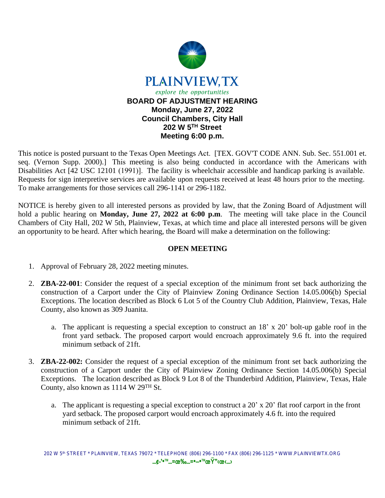

This notice is posted pursuant to the Texas Open Meetings Act. [TEX. GOV'T CODE ANN. Sub. Sec. 551.001 et. seq. (Vernon Supp. 2000).] This meeting is also being conducted in accordance with the Americans with Disabilities Act [42 USC 12101 (1991)]. The facility is wheelchair accessible and handicap parking is available. Requests for sign interpretive services are available upon requests received at least 48 hours prior to the meeting. To make arrangements for those services call 296-1141 or 296-1182.

NOTICE is hereby given to all interested persons as provided by law, that the Zoning Board of Adjustment will hold a public hearing on **Monday, June 27, 2022 at 6:00 p.m**. The meeting will take place in the Council Chambers of City Hall, 202 W 5th, Plainview, Texas, at which time and place all interested persons will be given an opportunity to be heard. After which hearing, the Board will make a determination on the following:

## **OPEN MEETING**

- 1. Approval of February 28, 2022 meeting minutes.
- 2. **ZBA-22-001**: Consider the request of a special exception of the minimum front set back authorizing the construction of a Carport under the City of Plainview Zoning Ordinance Section 14.05.006(b) Special Exceptions. The location described as Block 6 Lot 5 of the Country Club Addition, Plainview, Texas, Hale County, also known as 309 Juanita.
	- a. The applicant is requesting a special exception to construct an 18' x 20' bolt-up gable roof in the front yard setback. The proposed carport would encroach approximately 9.6 ft. into the required minimum setback of 21ft.
- 3. **ZBA-22-002:** Consider the request of a special exception of the minimum front set back authorizing the construction of a Carport under the City of Plainview Zoning Ordinance Section 14.05.006(b) Special Exceptions. The location described as Block 9 Lot 8 of the Thunderbird Addition, Plainview, Texas, Hale County, also known as 1114 W 29TH St.
	- a. The applicant is requesting a special exception to construct a 20' x 20' flat roof carport in the front yard setback. The proposed carport would encroach approximately 4.6 ft. into the required minimum setback of 21ft.